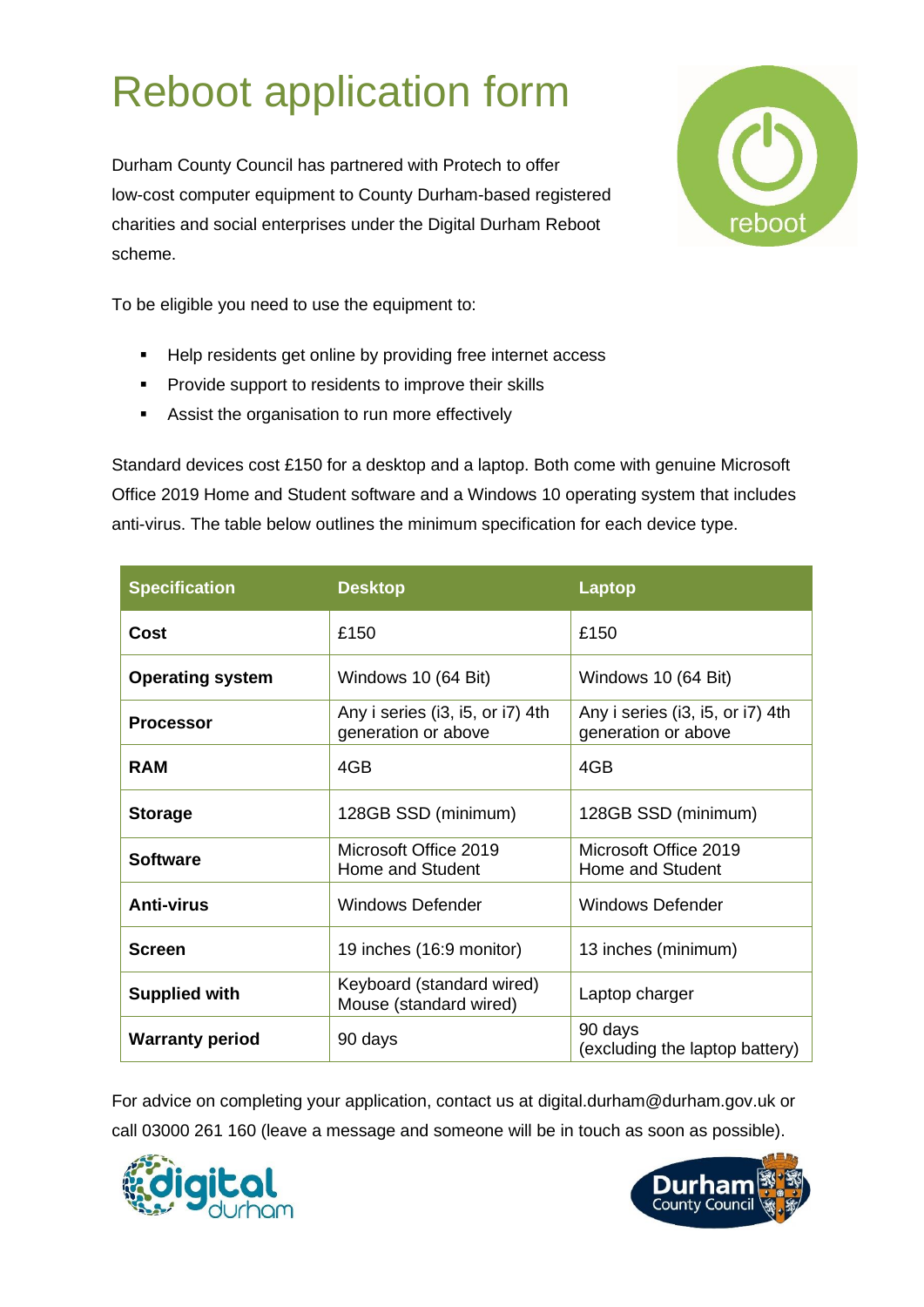# Reboot application form

Durham County Council has partnered with Protech to offer low-cost computer equipment to County Durham-based registered charities and social enterprises under the Digital Durham Reboot scheme.



To be eligible you need to use the equipment to:

- Help residents get online by providing free internet access
- **•** Provide support to residents to improve their skills
- Assist the organisation to run more effectively

Standard devices cost £150 for a desktop and a laptop. Both come with genuine Microsoft Office 2019 Home and Student software and a Windows 10 operating system that includes anti-virus. The table below outlines the minimum specification for each device type.

| <b>Specification</b>    | <b>Desktop</b>                                          | <b>Laptop</b>                                           |  |  |
|-------------------------|---------------------------------------------------------|---------------------------------------------------------|--|--|
| Cost                    | £150                                                    | £150                                                    |  |  |
| <b>Operating system</b> | Windows 10 (64 Bit)                                     | Windows 10 (64 Bit)                                     |  |  |
| <b>Processor</b>        | Any i series (i3, i5, or i7) 4th<br>generation or above | Any i series (i3, i5, or i7) 4th<br>generation or above |  |  |
| <b>RAM</b>              | 4GB                                                     | 4GB                                                     |  |  |
| <b>Storage</b>          | 128GB SSD (minimum)                                     | 128GB SSD (minimum)                                     |  |  |
| <b>Software</b>         | Microsoft Office 2019<br>Home and Student               | Microsoft Office 2019<br>Home and Student               |  |  |
| <b>Anti-virus</b>       | <b>Windows Defender</b>                                 | <b>Windows Defender</b>                                 |  |  |
| <b>Screen</b>           | 19 inches (16:9 monitor)                                | 13 inches (minimum)                                     |  |  |
| <b>Supplied with</b>    | Keyboard (standard wired)<br>Mouse (standard wired)     | Laptop charger                                          |  |  |
| <b>Warranty period</b>  | 90 days                                                 | 90 days<br>(excluding the laptop battery)               |  |  |

For advice on completing your application, contact us at digital.durham@durham.gov.uk or call 03000 261 160 (leave a message and someone will be in touch as soon as possible).



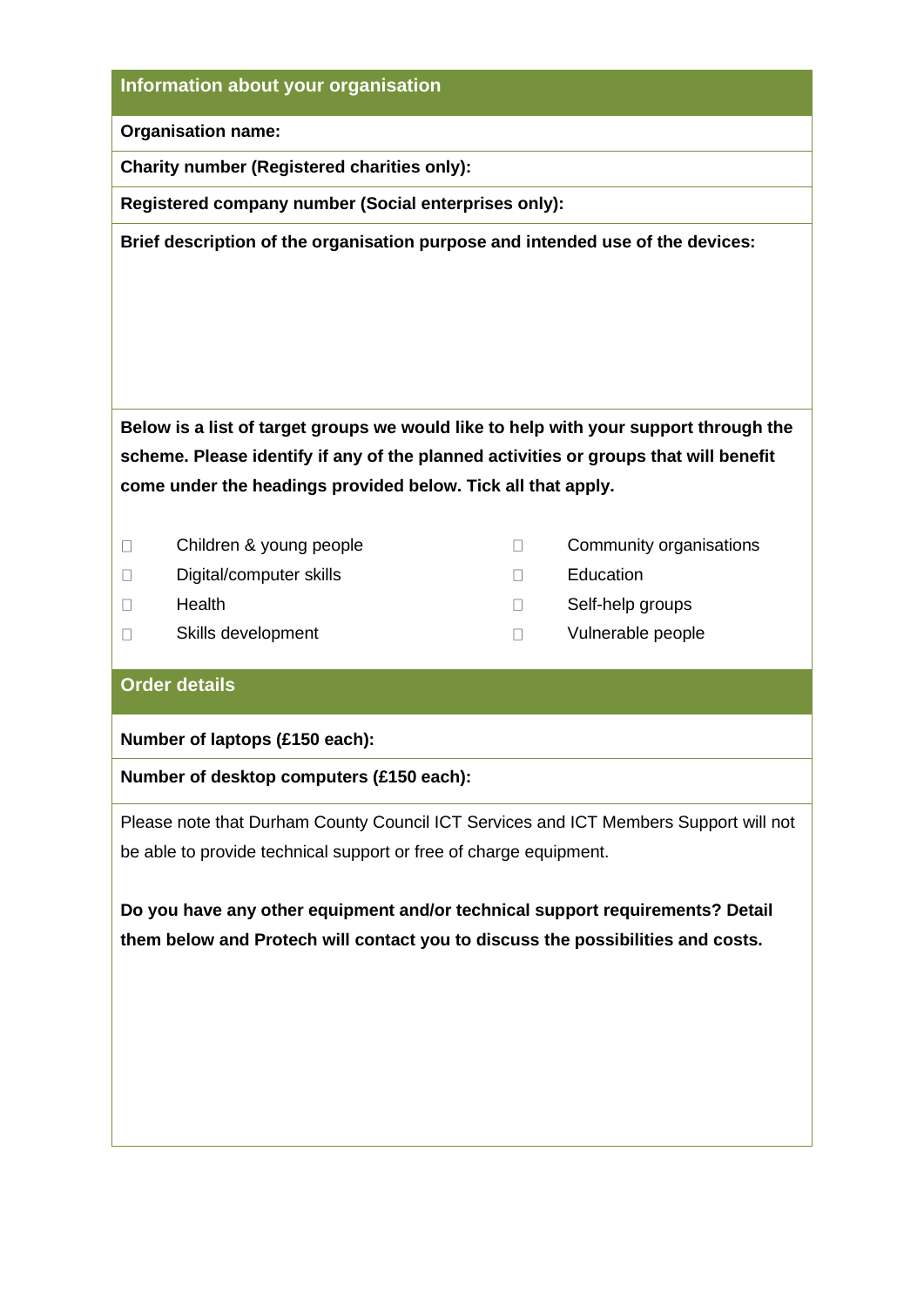### **Information about your organisation**

**Organisation name:**

**Charity number (Registered charities only):** 

**Registered company number (Social enterprises only):** 

**Brief description of the organisation purpose and intended use of the devices:**

**Below is a list of target groups we would like to help with your support through the scheme. Please identify if any of the planned activities or groups that will benefit come under the headings provided below. Tick all that apply.** 

- $\Box$
- $\Box$ Digital/computer skills Education
- $\Box$

 $\Box$ 

- Children & young people Children & young people
	-
- Health Self-help groups **Self-help** groups
- Skills development and Vulnerable people

#### **Order details**

**Number of laptops (£150 each):**

#### **Number of desktop computers (£150 each):**

Please note that Durham County Council ICT Services and ICT Members Support will not be able to provide technical support or free of charge equipment.

**Do you have any other equipment and/or technical support requirements? Detail them below and Protech will contact you to discuss the possibilities and costs.**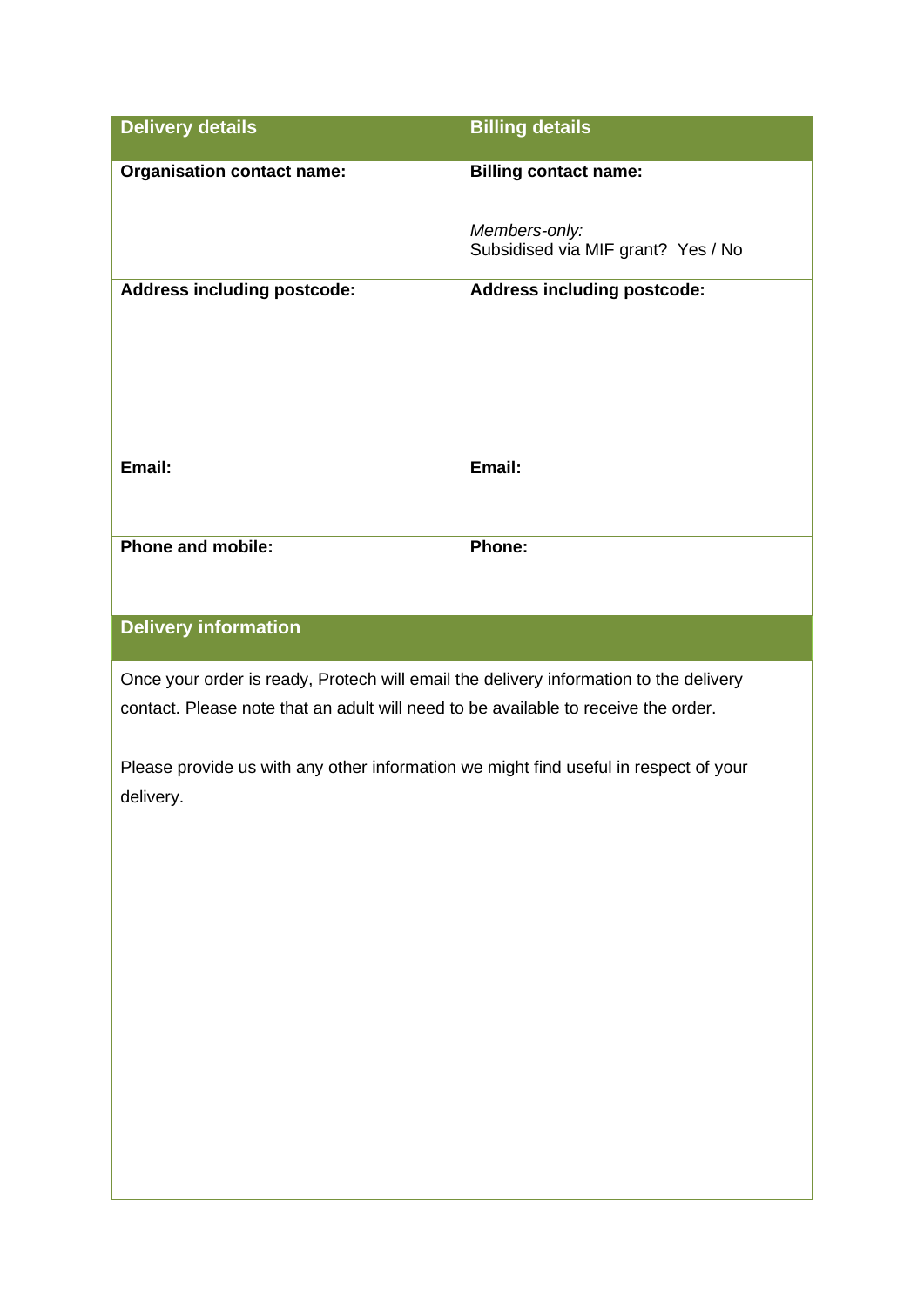| <b>Delivery details</b>            | <b>Billing details</b>                              |
|------------------------------------|-----------------------------------------------------|
| <b>Organisation contact name:</b>  | <b>Billing contact name:</b>                        |
|                                    | Members-only:<br>Subsidised via MIF grant? Yes / No |
| <b>Address including postcode:</b> | <b>Address including postcode:</b>                  |
| Email:                             | Email:                                              |
| <b>Phone and mobile:</b>           | Phone:                                              |

# **Delivery information**

Once your order is ready, Protech will email the delivery information to the delivery contact. Please note that an adult will need to be available to receive the order.

Please provide us with any other information we might find useful in respect of your delivery.